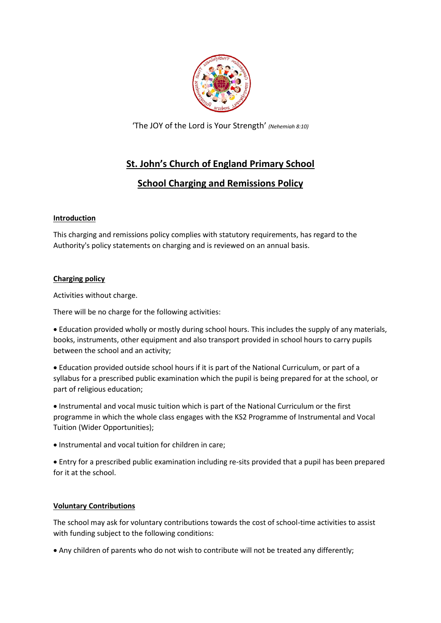

'The JOY of the Lord is Your Strength' *(Nehemiah 8:10)*

# **St. John's Church of England Primary School**

# **School Charging and Remissions Policy**

# **Introduction**

This charging and remissions policy complies with statutory requirements, has regard to the Authority's policy statements on charging and is reviewed on an annual basis.

# **Charging policy**

Activities without charge.

There will be no charge for the following activities:

 Education provided wholly or mostly during school hours. This includes the supply of any materials, books, instruments, other equipment and also transport provided in school hours to carry pupils between the school and an activity;

 Education provided outside school hours if it is part of the National Curriculum, or part of a syllabus for a prescribed public examination which the pupil is being prepared for at the school, or part of religious education;

 Instrumental and vocal music tuition which is part of the National Curriculum or the first programme in which the whole class engages with the KS2 Programme of Instrumental and Vocal Tuition (Wider Opportunities);

• Instrumental and vocal tuition for children in care:

 Entry for a prescribed public examination including re-sits provided that a pupil has been prepared for it at the school.

#### **Voluntary Contributions**

The school may ask for voluntary contributions towards the cost of school-time activities to assist with funding subject to the following conditions:

Any children of parents who do not wish to contribute will not be treated any differently;